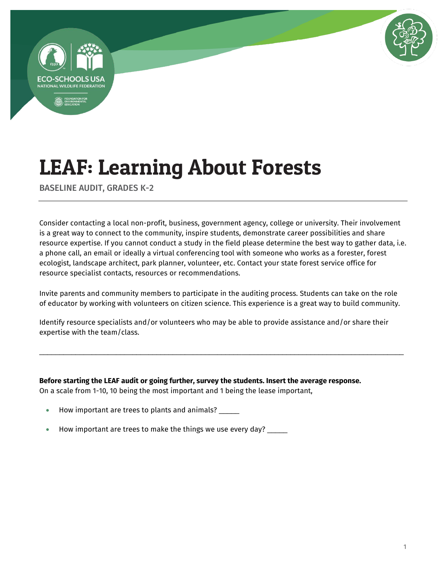



BASELINE AUDIT, GRADES K-2

Consider contacting a local non-profit, business, government agency, college or university. Their involvement is a great way to connect to the community, inspire students, demonstrate career possibilities and share resource expertise. If you cannot conduct a study in the field please determine the best way to gather data, i.e. a phone call, an email or ideally a virtual conferencing tool with someone who works as a forester, forest ecologist, landscape architect, park planner, volunteer, etc. Contact your state forest service office for resource specialist contacts, resources or recommendations.

Invite parents and community members to participate in the auditing process. Students can take on the role of educator by working with volunteers on citizen science. This experience is a great way to build community.

\_\_\_\_\_\_\_\_\_\_\_\_\_\_\_\_\_\_\_\_\_\_\_\_\_\_\_\_\_\_\_\_\_\_\_\_\_\_\_\_\_\_\_\_\_\_\_\_\_\_\_\_\_\_\_\_\_\_\_\_\_\_\_\_\_\_\_\_\_\_\_\_\_\_\_\_\_\_\_\_\_\_\_\_\_\_\_\_\_\_

Identify resource specialists and/or volunteers who may be able to provide assistance and/or share their expertise with the team/class.

**Before starting the LEAF audit or going further, survey the students. Insert the average response.**  On a scale from 1-10, 10 being the most important and 1 being the lease important,

- How important are trees to plants and animals? \_\_\_\_\_
- How important are trees to make the things we use every day? \_\_\_\_\_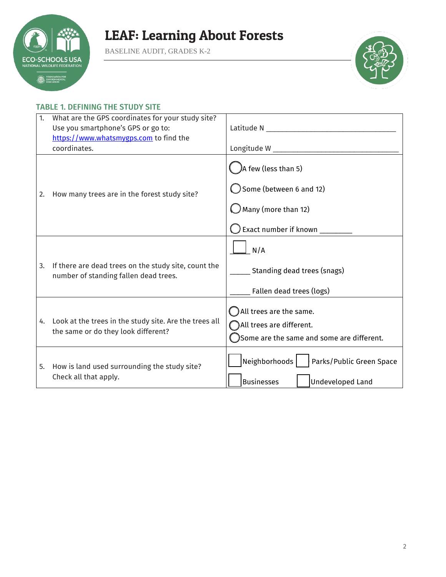

BASELINE AUDIT, GRADES K-2



### TABLE 1. DEFINING THE STUDY SITE

| 1. | What are the GPS coordinates for your study site?<br>Use you smartphone's GPS or go to:<br>https://www.whatsmygps.com to find the<br>coordinates. |                                                                                                                                           |
|----|---------------------------------------------------------------------------------------------------------------------------------------------------|-------------------------------------------------------------------------------------------------------------------------------------------|
| 2. | How many trees are in the forest study site?                                                                                                      | A few (less than 5)<br>Some (between 6 and 12)<br>$\bigcirc$ Many (more than 12)<br>$\bigcirc$ Exact number if known $\rule{1em}{0.15mm}$ |
| 3. | If there are dead trees on the study site, count the<br>number of standing fallen dead trees.                                                     | N/A<br>Standing dead trees (snags)<br>Fallen dead trees (logs)                                                                            |
| 4. | Look at the trees in the study site. Are the trees all<br>the same or do they look different?                                                     | All trees are the same.<br>All trees are different.<br>Some are the same and some are different.                                          |
| 5. | How is land used surrounding the study site?<br>Check all that apply.                                                                             | Neighborhoods<br>Parks/Public Green Space<br><b>Businesses</b><br>Undeveloped Land                                                        |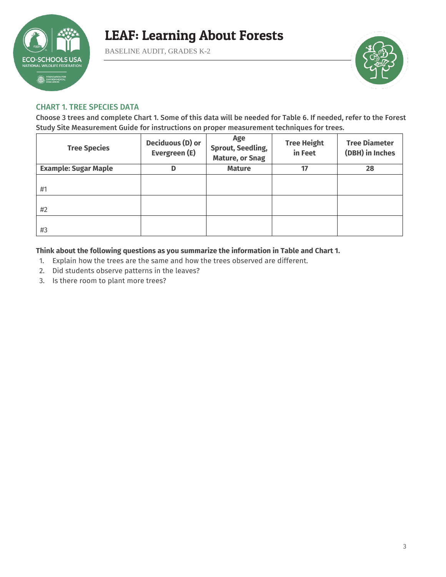

BASELINE AUDIT, GRADES K-2



### CHART 1. TREE SPECIES DATA

Choose 3 trees and complete Chart 1. Some of this data will be needed for Table 6. If needed, refer to the Forest Study Site Measurement Guide for instructions on proper measurement techniques for trees.

| <b>Tree Species</b>         | Deciduous (D) or<br>Evergreen (E) | Age<br><b>Sprout, Seedling,</b><br><b>Mature, or Snag</b> | <b>Tree Height</b><br>in Feet | <b>Tree Diameter</b><br>(DBH) in Inches |
|-----------------------------|-----------------------------------|-----------------------------------------------------------|-------------------------------|-----------------------------------------|
| <b>Example: Sugar Maple</b> | D                                 | <b>Mature</b>                                             | 17                            | 28                                      |
| #1                          |                                   |                                                           |                               |                                         |
| #2                          |                                   |                                                           |                               |                                         |
| #3                          |                                   |                                                           |                               |                                         |

**Think about the following questions as you summarize the information in Table and Chart 1.** 

- 1. Explain how the trees are the same and how the trees observed are different.
- 2. Did students observe patterns in the leaves?
- 3. Is there room to plant more trees?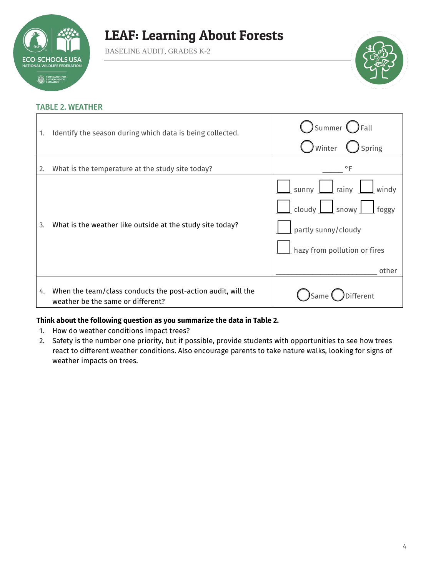

BASELINE AUDIT, GRADES K-2



#### TABLE 2. WEATHER

| 1. | Identify the season during which data is being collected.                                         | Summer ( ) Fall<br>Spring<br>Winter                                                                                                               |
|----|---------------------------------------------------------------------------------------------------|---------------------------------------------------------------------------------------------------------------------------------------------------|
| 2. | What is the temperature at the study site today?                                                  | $\circ$ F                                                                                                                                         |
| 3. | What is the weather like outside at the study site today?                                         | $\Box$ sunny $\Box$ rainy $\Box$ windy<br>$\Box$ cloudy $\Box$ snowy $\Box$ foggy<br>partly sunny/cloudy<br>hazy from pollution or fires<br>other |
| 4. | When the team/class conducts the post-action audit, will the<br>weather be the same or different? | ifferent<br>)Same                                                                                                                                 |

#### **Think about the following question as you summarize the data in Table 2.**

- 1. How do weather conditions impact trees?
- 2. Safety is the number one priority, but if possible, provide students with opportunities to see how trees react to different weather conditions. Also encourage parents to take nature walks, looking for signs of weather impacts on trees.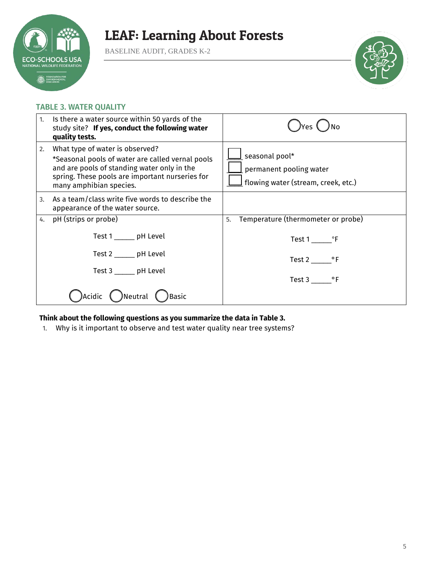

BASELINE AUDIT, GRADES K-2



### TABLE 3. WATER QUALITY

| 1. | Is there a water source within 50 yards of the<br>study site? If yes, conduct the following water<br>quality tests.                                                                                              |                                                                                            |
|----|------------------------------------------------------------------------------------------------------------------------------------------------------------------------------------------------------------------|--------------------------------------------------------------------------------------------|
| 2. | What type of water is observed?<br>*Seasonal pools of water are called vernal pools<br>and are pools of standing water only in the<br>spring. These pools are important nurseries for<br>many amphibian species. | $\_$ seasonal pool*<br>$\_$ permanent pooling water<br>flowing water (stream, creek, etc.) |
| 3. | As a team/class write five words to describe the<br>appearance of the water source.                                                                                                                              |                                                                                            |
| 4. | pH (strips or probe)                                                                                                                                                                                             | Temperature (thermometer or probe)<br>5.                                                   |
|    | Test 1 _______ pH Level                                                                                                                                                                                          | Test 1 ºF                                                                                  |
|    | Test 2 _______ pH Level                                                                                                                                                                                          | Test $2 \_\_\_\$ °F                                                                        |
|    | Test 3 _______ pH Level                                                                                                                                                                                          | Test 3 ºF                                                                                  |
|    | )Neutral (<br>)Basic                                                                                                                                                                                             |                                                                                            |

### **Think about the following questions as you summarize the data in Table 3.**

1. Why is it important to observe and test water quality near tree systems?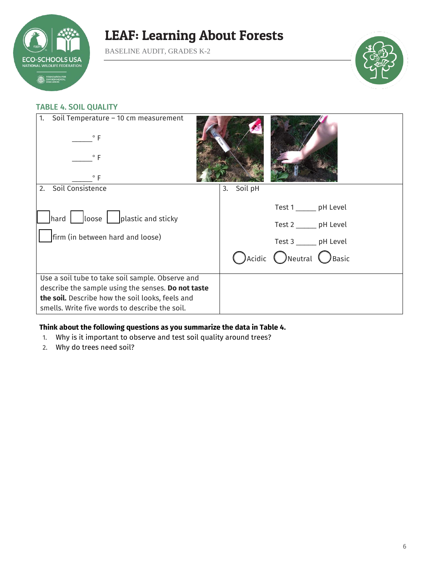

BASELINE AUDIT, GRADES K-2



### TABLE 4. SOIL QUALITY

| Soil Temperature - 10 cm measurement<br>1.<br>$\circ$ F<br>$^{\circ}$ F<br>$\circ$ F                                                                                                                         |               |                                                                                                                                    |
|--------------------------------------------------------------------------------------------------------------------------------------------------------------------------------------------------------------|---------------|------------------------------------------------------------------------------------------------------------------------------------|
| Soil Consistence<br>2.                                                                                                                                                                                       | Soil pH<br>3. |                                                                                                                                    |
| $\vert$ hard $\vert$ $\vert$ loose $\vert$ $\vert$ plastic and sticky<br>firm (in between hard and loose)                                                                                                    |               | Test 1 _______ pH Level<br>Test 2 _______ pH Level<br>Test 3 ______ pH Level<br>$\bigcap$ Acidic $\bigcap$ Neutral $\bigcap$ Basic |
| Use a soil tube to take soil sample. Observe and<br>describe the sample using the senses. Do not taste<br>the soil. Describe how the soil looks, feels and<br>smells. Write five words to describe the soil. |               |                                                                                                                                    |

#### **Think about the following questions as you summarize the data in Table 4.**

- 1. Why is it important to observe and test soil quality around trees?
- 2. Why do trees need soil?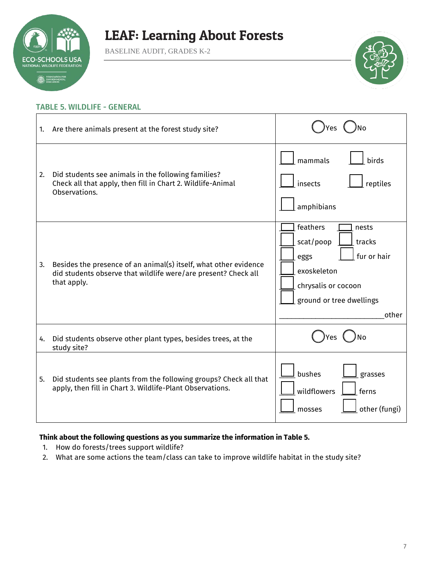

BASELINE AUDIT, GRADES K-2



#### TABLE 5. WILDLIFE - GENERAL

| 1. | Are there animals present at the forest study site?                                                                                               |                                                                                                                                            |
|----|---------------------------------------------------------------------------------------------------------------------------------------------------|--------------------------------------------------------------------------------------------------------------------------------------------|
| 2. | Did students see animals in the following families?<br>Check all that apply, then fill in Chart 2. Wildlife-Animal<br>Observations.               | mammals<br>birds<br>insects<br>reptiles<br>amphibians                                                                                      |
| 3. | Besides the presence of an animal(s) itself, what other evidence<br>did students observe that wildlife were/are present? Check all<br>that apply. | feathers<br>nests<br>scat/poop<br>tracks<br>fur or hair<br>eggs<br>exoskeleton<br>chrysalis or cocoon<br>ground or tree dwellings<br>other |
| 4. | Did students observe other plant types, besides trees, at the<br>study site?                                                                      | Yes                                                                                                                                        |
| 5. | Did students see plants from the following groups? Check all that<br>apply, then fill in Chart 3. Wildlife-Plant Observations.                    | bushes<br>grasses<br>wildflowers<br>ferns<br>other (fungi)<br>mosses                                                                       |

### **Think about the following questions as you summarize the information in Table 5.**

- 1. How do forests/trees support wildlife?
- 2. What are some actions the team/class can take to improve wildlife habitat in the study site?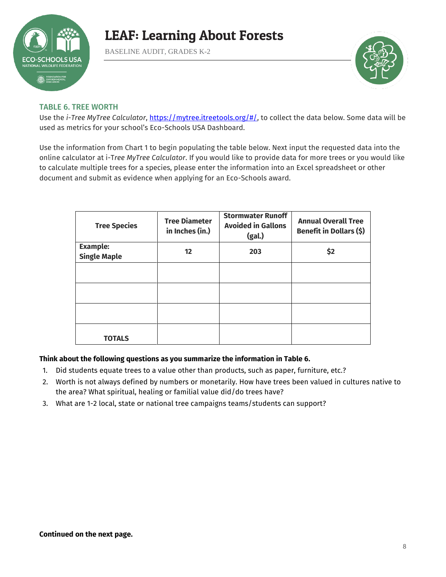

BASELINE AUDIT, GRADES K-2



### TABLE 6. TREE WORTH

Use the *i-Tree MyTree Calculator*, [https://mytree.itreetools.org/#/,](https://mytree.itreetools.org/#/) to collect the data below. Some data will be used as metrics for your school's Eco-Schools USA Dashboard.

Use the information from Chart 1 to begin populating the table below. Next input the requested data into the online calculator at i-T*ree MyTree Calculator*. If you would like to provide data for more trees or you would like to calculate multiple trees for a species, please enter the information into an Excel spreadsheet or other document and submit as evidence when applying for an Eco-Schools award.

| <b>Tree Species</b> | <b>Tree Diameter</b><br>in Inches (in.) | <b>Stormwater Runoff</b><br><b>Avoided in Gallons</b><br>(gal.) | <b>Annual Overall Tree</b><br>Benefit in Dollars (\$) |
|---------------------|-----------------------------------------|-----------------------------------------------------------------|-------------------------------------------------------|
| <b>Example:</b>     | 12                                      | 203                                                             |                                                       |
| <b>Single Maple</b> |                                         |                                                                 | \$2                                                   |
|                     |                                         |                                                                 |                                                       |
|                     |                                         |                                                                 |                                                       |
|                     |                                         |                                                                 |                                                       |
| <b>TOTALS</b>       |                                         |                                                                 |                                                       |

### **Think about the following questions as you summarize the information in Table 6.**

- 1. Did students equate trees to a value other than products, such as paper, furniture, etc.?
- 2. Worth is not always defined by numbers or monetarily. How have trees been valued in cultures native to the area? What spiritual, healing or familial value did/do trees have?
- 3. What are 1-2 local, state or national tree campaigns teams/students can support?